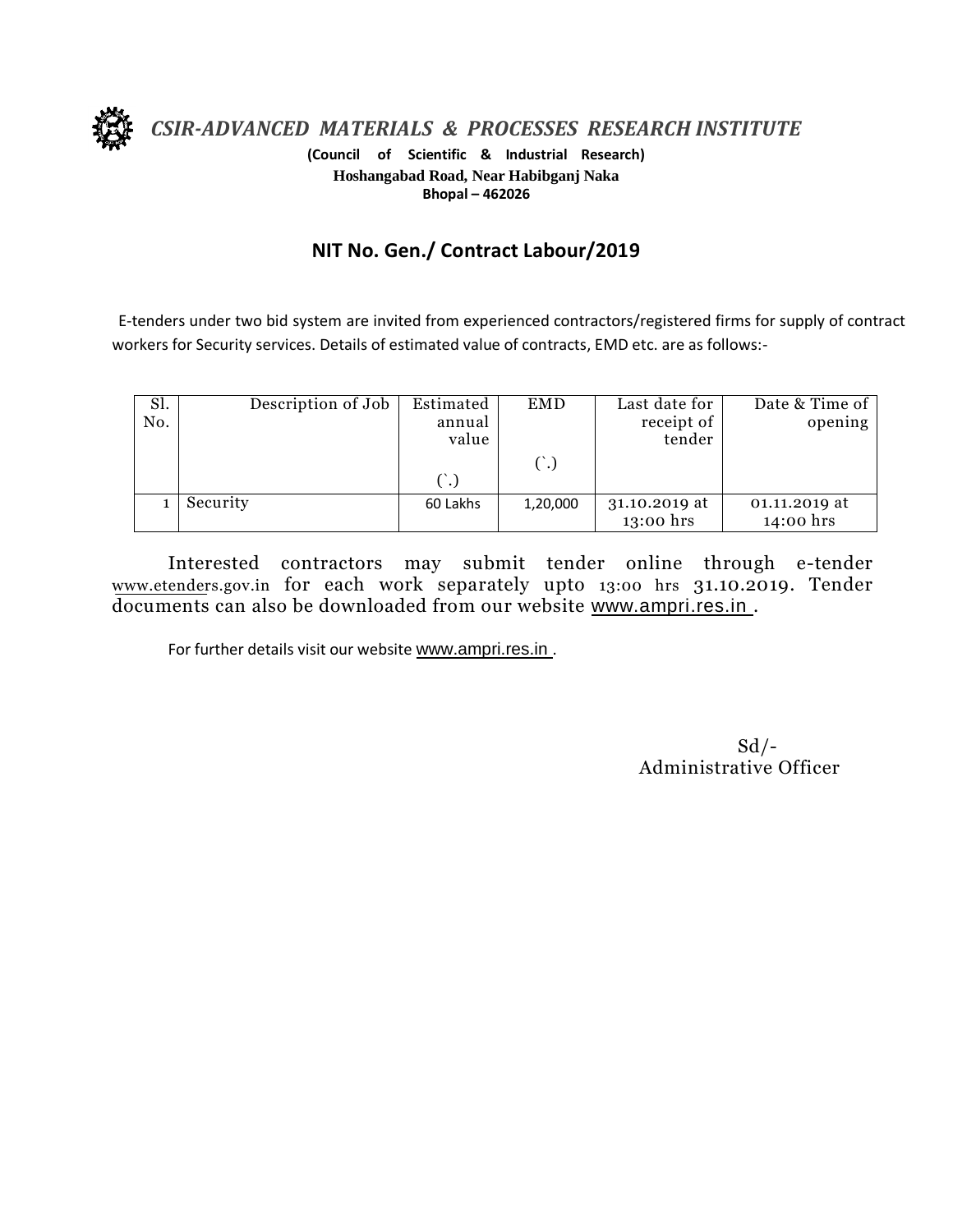

*CSIR-ADVANCED MATERIALS & PROCESSES RESEARCH INSTITUTE*

**(Council of Scientific & Industrial Research) Hoshangabad Road, Near Habibganj Naka Bhopal – 462026**

## **NIT No. Gen./ Contract Labour/2019**

E-tenders under two bid system are invited from experienced contractors/registered firms for supply of contract workers for Security services. Details of estimated value of contracts, EMD etc. are as follows:-

| Sl.<br>No. | Description of Job | Estimated<br>annual<br>value | <b>EMD</b> | Last date for<br>receipt of<br>tender | Date & Time of<br>opening  |
|------------|--------------------|------------------------------|------------|---------------------------------------|----------------------------|
|            |                    |                              |            |                                       |                            |
|            | Security           | 60 Lakhs                     | 1,20,000   | 31.10.2019 at<br>13:00 hrs            | 01.11.2019 at<br>14:00 hrs |

Interested contractors may submit tender online through e-tender www.etenders.gov.in for each work separately upto 13:00 hrs 31.10.2019. Tender documents can also be downloaded from our website [www.ampri.res.in](http://www.rrlbpl.org/) .

For further details visit our website www.ampri.res.in.

 $Sd$  /-Administrative Officer